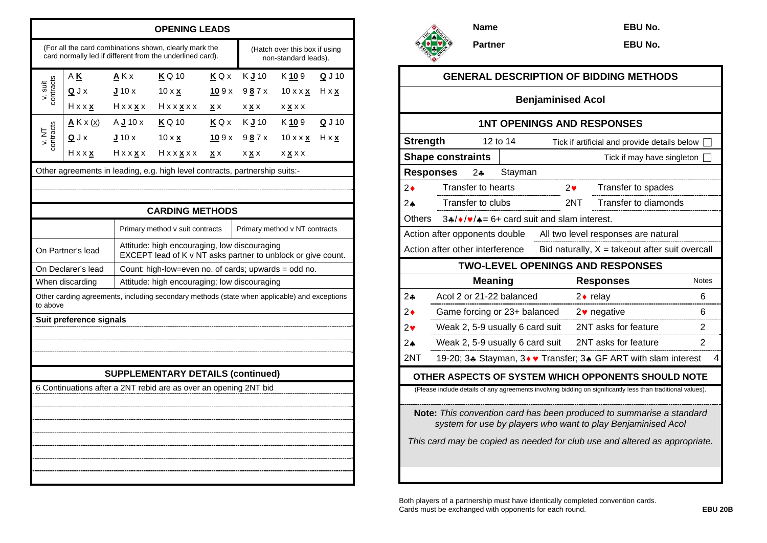|                                                                  | <b>OPENING LEADS</b>                                                                                                                                            |                                           |                                                                                                                     |                                    |                                         |                                                       |                          |  |  |
|------------------------------------------------------------------|-----------------------------------------------------------------------------------------------------------------------------------------------------------------|-------------------------------------------|---------------------------------------------------------------------------------------------------------------------|------------------------------------|-----------------------------------------|-------------------------------------------------------|--------------------------|--|--|
|                                                                  |                                                                                                                                                                 |                                           | (For all the card combinations shown, clearly mark the<br>card normally led if different from the underlined card). |                                    |                                         | (Hatch over this box if using<br>non-standard leads). |                          |  |  |
| contracts<br>v. suit                                             | ΑK<br>QJx                                                                                                                                                       | $A$ K x<br>J10x                           | K Q 10<br>$10 \times \underline{x}$<br>Hxx <u>x</u> Hxx <u>x</u> x Hxx <u>x</u> xx                                  | KQX<br>109x<br>$\mathbf{x} \times$ | K J 10<br>9 <u>8</u> 7x<br>X <u>X</u> X | K 10 9<br>$10 \times x$ $\times$<br><u>x x</u> x x    | Q J 10<br>$H \times X$   |  |  |
| contracts<br>v. NT                                               | $\underline{A}$ K x (x)<br>QJx<br>$H$ x x $x$                                                                                                                   | $A \mathbf{J}$ 10 x<br>$J_{10x}$<br>Hxxxx | <b>K</b> Q 10<br>$10 \times x$<br>$H$ x x $\underline{x}$ x x                                                       | 109x<br>$\underline{x}$ x          | $KQx$ KJ10<br>987x<br><b>X X X</b>      | K 10 9<br>10 x x <u>x</u><br><b>X X X X</b>           | $Q$ J 10<br>$H \times X$ |  |  |
|                                                                  | Other agreements in leading, e.g. high level contracts, partnership suits:-                                                                                     |                                           |                                                                                                                     |                                    |                                         |                                                       |                          |  |  |
|                                                                  |                                                                                                                                                                 |                                           | <b>CARDING METHODS</b>                                                                                              |                                    |                                         |                                                       |                          |  |  |
| Primary method v suit contracts<br>Primary method v NT contracts |                                                                                                                                                                 |                                           |                                                                                                                     |                                    |                                         |                                                       |                          |  |  |
|                                                                  | On Partner's lead                                                                                                                                               |                                           | Attitude: high encouraging, low discouraging<br>EXCEPT lead of K v NT asks partner to unblock or give count.        |                                    |                                         |                                                       |                          |  |  |
|                                                                  | On Declarer's lead                                                                                                                                              |                                           | Count: high-low=even no. of cards; upwards = odd no.                                                                |                                    |                                         |                                                       |                          |  |  |
|                                                                  | When discarding<br>Attitude: high encouraging; low discouraging<br>Other carding agreements, including secondary methods (state when applicable) and exceptions |                                           |                                                                                                                     |                                    |                                         |                                                       |                          |  |  |
| to above                                                         |                                                                                                                                                                 |                                           |                                                                                                                     |                                    |                                         |                                                       |                          |  |  |
|                                                                  | Suit preference signals                                                                                                                                         |                                           |                                                                                                                     |                                    |                                         |                                                       |                          |  |  |
|                                                                  |                                                                                                                                                                 |                                           |                                                                                                                     |                                    |                                         |                                                       |                          |  |  |
|                                                                  |                                                                                                                                                                 |                                           |                                                                                                                     |                                    |                                         |                                                       |                          |  |  |
|                                                                  |                                                                                                                                                                 |                                           |                                                                                                                     |                                    |                                         |                                                       |                          |  |  |
|                                                                  | <b>SUPPLEMENTARY DETAILS (continued)</b><br>6 Continuations after a 2NT rebid are as over an opening 2NT bid                                                    |                                           |                                                                                                                     |                                    |                                         |                                                       |                          |  |  |
|                                                                  |                                                                                                                                                                 |                                           |                                                                                                                     |                                    |                                         |                                                       |                          |  |  |
|                                                                  |                                                                                                                                                                 |                                           |                                                                                                                     |                                    |                                         |                                                       |                          |  |  |
|                                                                  |                                                                                                                                                                 |                                           |                                                                                                                     |                                    |                                         |                                                       |                          |  |  |
|                                                                  |                                                                                                                                                                 |                                           |                                                                                                                     |                                    |                                         |                                                       |                          |  |  |
|                                                                  |                                                                                                                                                                 |                                           |                                                                                                                     |                                    |                                         |                                                       |                          |  |  |
|                                                                  |                                                                                                                                                                 |                                           |                                                                                                                     |                                    |                                         |                                                       |                          |  |  |



**EBU No.** 

**EBU No.** 

| <b>GENERAL DESCRIPTION OF BIDDING METHODS</b>                                                                                                                                                                      |                                 |                                 |                                              |                          |                                                                |              |  |  |
|--------------------------------------------------------------------------------------------------------------------------------------------------------------------------------------------------------------------|---------------------------------|---------------------------------|----------------------------------------------|--------------------------|----------------------------------------------------------------|--------------|--|--|
| <b>Benjaminised Acol</b>                                                                                                                                                                                           |                                 |                                 |                                              |                          |                                                                |              |  |  |
| <b>1NT OPENINGS AND RESPONSES</b>                                                                                                                                                                                  |                                 |                                 |                                              |                          |                                                                |              |  |  |
| <b>Strength</b>                                                                                                                                                                                                    |                                 | 12 to 14                        | Tick if artificial and provide details below |                          |                                                                |              |  |  |
|                                                                                                                                                                                                                    | <b>Shape constraints</b>        | Tick if may have singleton      |                                              |                          |                                                                |              |  |  |
| <b>Responses</b>                                                                                                                                                                                                   | 2∻                              | Stayman                         |                                              |                          |                                                                |              |  |  |
| 2♦                                                                                                                                                                                                                 | Transfer to hearts              |                                 |                                              | 2♥                       | Transfer to spades                                             |              |  |  |
| 4 2                                                                                                                                                                                                                | Transfer to clubs               |                                 | <b>Transfer to diamonds</b><br>2NT           |                          |                                                                |              |  |  |
| <b>Others</b><br>$3*/*/*/* = 6+$ card suit and slam interest.                                                                                                                                                      |                                 |                                 |                                              |                          |                                                                |              |  |  |
| Action after opponents double<br>All two level responses are natural                                                                                                                                               |                                 |                                 |                                              |                          |                                                                |              |  |  |
|                                                                                                                                                                                                                    | Action after other interference |                                 |                                              |                          | Bid naturally, $X =$ takeout after suit overcall               |              |  |  |
| <b>TWO-LEVEL OPENINGS AND RESPONSES</b>                                                                                                                                                                            |                                 |                                 |                                              |                          |                                                                |              |  |  |
|                                                                                                                                                                                                                    | <b>Meaning</b>                  |                                 |                                              |                          | <b>Responses</b>                                               | <b>Notes</b> |  |  |
| 2∻                                                                                                                                                                                                                 | Acol 2 or 21-22 balanced        |                                 | $2 \cdot$ relay                              |                          | 6                                                              |              |  |  |
| 2♦                                                                                                                                                                                                                 | Game forcing or 23+ balanced    |                                 |                                              | $2\bullet$ negative<br>6 |                                                                |              |  |  |
| 2♥                                                                                                                                                                                                                 |                                 | Weak 2, 5-9 usually 6 card suit |                                              |                          | 2NT asks for feature                                           | 2            |  |  |
| $2\spadesuit$                                                                                                                                                                                                      |                                 | Weak 2, 5-9 usually 6 card suit |                                              |                          | 2NT asks for feature                                           |              |  |  |
| 2NT                                                                                                                                                                                                                |                                 |                                 |                                              |                          | 19-20; 3. Stayman, 3. V Transfer; 3. GF ART with slam interest | 4            |  |  |
|                                                                                                                                                                                                                    |                                 |                                 |                                              |                          | OTHER ASPECTS OF SYSTEM WHICH OPPONENTS SHOULD NOTE            |              |  |  |
| (Please include details of any agreements involving bidding on significantly less than traditional values).                                                                                                        |                                 |                                 |                                              |                          |                                                                |              |  |  |
| Note: This convention card has been produced to summarise a standard<br>system for use by players who want to play Benjaminised Acol<br>This card may be copied as needed for club use and altered as appropriate. |                                 |                                 |                                              |                          |                                                                |              |  |  |
|                                                                                                                                                                                                                    |                                 |                                 |                                              |                          |                                                                |              |  |  |
|                                                                                                                                                                                                                    |                                 |                                 |                                              |                          |                                                                |              |  |  |

Both players of a partnership must have identically completed convention cards. Cards must be exchanged with opponents for each round. **EBU 20B**